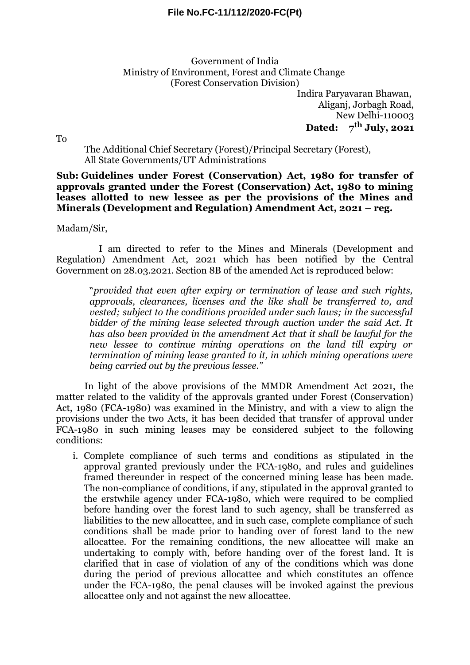## **File No.FC-11/112/2020-FC(Pt)**

## Government of India Ministry of Environment, Forest and Climate Change (Forest Conservation Division)

Indira Paryavaran Bhawan, Aliganj, Jorbagh Road, New Delhi-110003 **Dated: 7th July, 2021**

To

The Additional Chief Secretary (Forest)/Principal Secretary (Forest), All State Governments/UT Administrations

**Sub: Guidelines under Forest (Conservation) Act, 1980 for transfer of approvals granted under the Forest (Conservation) Act, 1980 to mining leases allotted to new lessee as per the provisions of the Mines and Minerals (Development and Regulation) Amendment Act, 2021 – reg.**

Madam/Sir,

I am directed to refer to the Mines and Minerals (Development and Regulation) Amendment Act, 2021 which has been notified by the Central Government on 28.03.2021. Section 8B of the amended Act is reproduced below:

"*provided that even after expiry or termination of lease and such rights, approvals, clearances, licenses and the like shall be transferred to, and vested; subject to the conditions provided under such laws; in the successful bidder of the mining lease selected through auction under the said Act. It has also been provided in the amendment Act that it shall be lawful for the new lessee to continue mining operations on the land till expiry or termination of mining lease granted to it, in which mining operations were being carried out by the previous lessee."*

In light of the above provisions of the MMDR Amendment Act 2021, the matter related to the validity of the approvals granted under Forest (Conservation) Act, 1980 (FCA-1980) was examined in the Ministry, and with a view to align the provisions under the two Acts, it has been decided that transfer of approval under FCA-1980 in such mining leases may be considered subject to the following conditions:

i. Complete compliance of such terms and conditions as stipulated in the approval granted previously under the FCA-1980, and rules and guidelines framed thereunder in respect of the concerned mining lease has been made. The non-compliance of conditions, if any, stipulated in the approval granted to the erstwhile agency under FCA-1980, which were required to be complied before handing over the forest land to such agency, shall be transferred as liabilities to the new allocattee, and in such case, complete compliance of such conditions shall be made prior to handing over of forest land to the new allocattee. For the remaining conditions, the new allocattee will make an undertaking to comply with, before handing over of the forest land. It is clarified that in case of violation of any of the conditions which was done during the period of previous allocattee and which constitutes an offence under the FCA-1980, the penal clauses will be invoked against the previous allocattee only and not against the new allocattee.